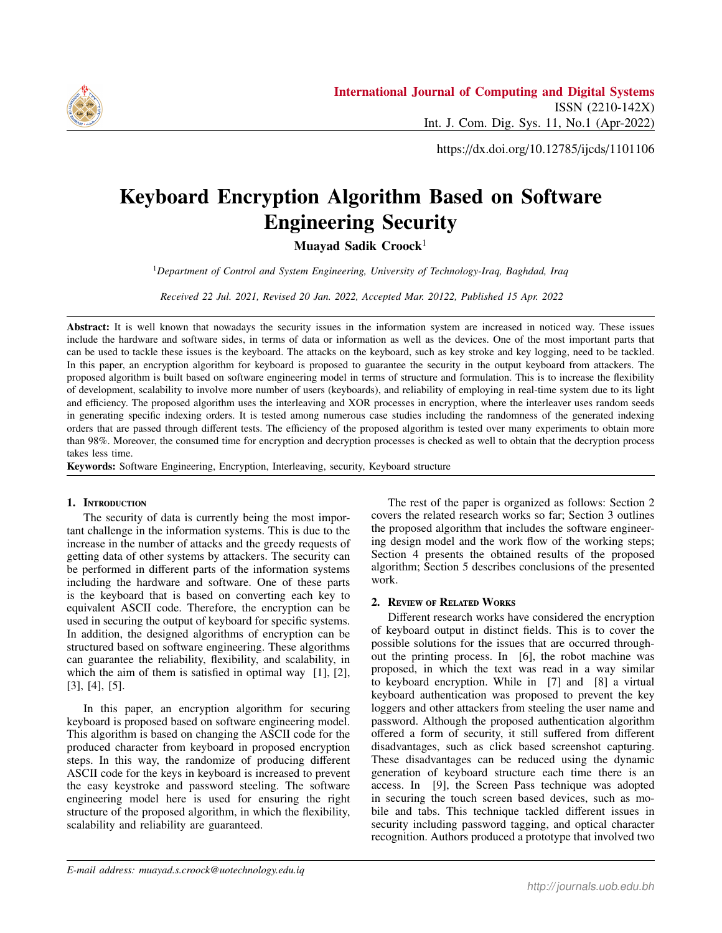

https://dx.doi.org/10.12785/ijcds/1101106

# Keyboard Encryption Algorithm Based on Software Engineering Security

Muayad Sadik Croock<sup>1</sup>

<sup>1</sup>*Department of Control and System Engineering, University of Technology-Iraq, Baghdad, Iraq*

*Received 22 Jul. 2021, Revised 20 Jan. 2022, Accepted Mar. 20122, Published 15 Apr. 2022*

Abstract: It is well known that nowadays the security issues in the information system are increased in noticed way. These issues include the hardware and software sides, in terms of data or information as well as the devices. One of the most important parts that can be used to tackle these issues is the keyboard. The attacks on the keyboard, such as key stroke and key logging, need to be tackled. In this paper, an encryption algorithm for keyboard is proposed to guarantee the security in the output keyboard from attackers. The proposed algorithm is built based on software engineering model in terms of structure and formulation. This is to increase the flexibility of development, scalability to involve more number of users (keyboards), and reliability of employing in real-time system due to its light and efficiency. The proposed algorithm uses the interleaving and XOR processes in encryption, where the interleaver uses random seeds in generating specific indexing orders. It is tested among numerous case studies including the randomness of the generated indexing orders that are passed through different tests. The efficiency of the proposed algorithm is tested over many experiments to obtain more than 98%. Moreover, the consumed time for encryption and decryption processes is checked as well to obtain that the decryption process takes less time.

Keywords: Software Engineering, Encryption, Interleaving, security, Keyboard structure

# 1. Introduction

The security of data is currently being the most important challenge in the information systems. This is due to the increase in the number of attacks and the greedy requests of getting data of other systems by attackers. The security can be performed in different parts of the information systems including the hardware and software. One of these parts is the keyboard that is based on converting each key to equivalent ASCII code. Therefore, the encryption can be used in securing the output of keyboard for specific systems. In addition, the designed algorithms of encryption can be structured based on software engineering. These algorithms can guarantee the reliability, flexibility, and scalability, in which the aim of them is satisfied in optimal way [1], [2], [3], [4], [5].

In this paper, an encryption algorithm for securing keyboard is proposed based on software engineering model. This algorithm is based on changing the ASCII code for the produced character from keyboard in proposed encryption steps. In this way, the randomize of producing different ASCII code for the keys in keyboard is increased to prevent the easy keystroke and password steeling. The software engineering model here is used for ensuring the right structure of the proposed algorithm, in which the flexibility, scalability and reliability are guaranteed.

The rest of the paper is organized as follows: Section 2 covers the related research works so far; Section 3 outlines the proposed algorithm that includes the software engineering design model and the work flow of the working steps; Section 4 presents the obtained results of the proposed algorithm; Section 5 describes conclusions of the presented work.

# 2. Review of Related Works

Different research works have considered the encryption of keyboard output in distinct fields. This is to cover the possible solutions for the issues that are occurred throughout the printing process. In [6], the robot machine was proposed, in which the text was read in a way similar to keyboard encryption. While in [7] and [8] a virtual keyboard authentication was proposed to prevent the key loggers and other attackers from steeling the user name and password. Although the proposed authentication algorithm offered a form of security, it still suffered from different disadvantages, such as click based screenshot capturing. These disadvantages can be reduced using the dynamic generation of keyboard structure each time there is an access. In [9], the Screen Pass technique was adopted in securing the touch screen based devices, such as mobile and tabs. This technique tackled different issues in security including password tagging, and optical character recognition. Authors produced a prototype that involved two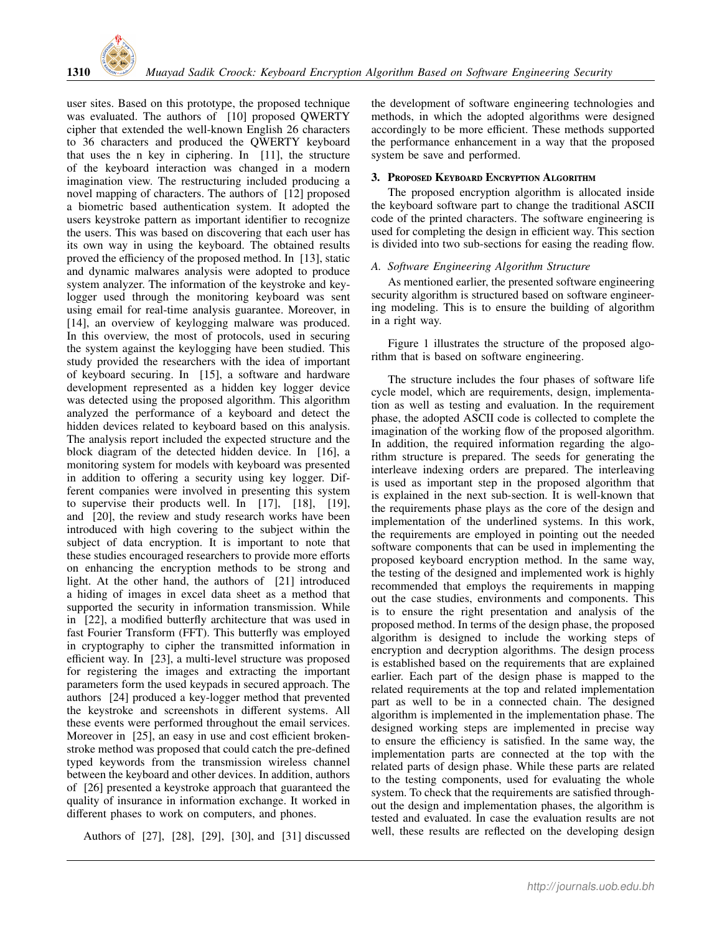

user sites. Based on this prototype, the proposed technique was evaluated. The authors of [10] proposed QWERTY cipher that extended the well-known English 26 characters to 36 characters and produced the QWERTY keyboard that uses the n key in ciphering. In [11], the structure of the keyboard interaction was changed in a modern imagination view. The restructuring included producing a novel mapping of characters. The authors of [12] proposed a biometric based authentication system. It adopted the users keystroke pattern as important identifier to recognize the users. This was based on discovering that each user has its own way in using the keyboard. The obtained results proved the efficiency of the proposed method. In [13], static and dynamic malwares analysis were adopted to produce system analyzer. The information of the keystroke and keylogger used through the monitoring keyboard was sent using email for real-time analysis guarantee. Moreover, in [14], an overview of keylogging malware was produced. In this overview, the most of protocols, used in securing the system against the keylogging have been studied. This study provided the researchers with the idea of important of keyboard securing. In [15], a software and hardware development represented as a hidden key logger device was detected using the proposed algorithm. This algorithm analyzed the performance of a keyboard and detect the hidden devices related to keyboard based on this analysis. The analysis report included the expected structure and the block diagram of the detected hidden device. In [16], a monitoring system for models with keyboard was presented in addition to offering a security using key logger. Different companies were involved in presenting this system to supervise their products well. In [17], [18], [19], and [20], the review and study research works have been introduced with high covering to the subject within the subject of data encryption. It is important to note that these studies encouraged researchers to provide more efforts on enhancing the encryption methods to be strong and light. At the other hand, the authors of [21] introduced a hiding of images in excel data sheet as a method that supported the security in information transmission. While in [22], a modified butterfly architecture that was used in fast Fourier Transform (FFT). This butterfly was employed in cryptography to cipher the transmitted information in efficient way. In [23], a multi-level structure was proposed for registering the images and extracting the important parameters form the used keypads in secured approach. The authors [24] produced a key-logger method that prevented the keystroke and screenshots in different systems. All these events were performed throughout the email services. Moreover in [25], an easy in use and cost efficient brokenstroke method was proposed that could catch the pre-defined typed keywords from the transmission wireless channel between the keyboard and other devices. In addition, authors of [26] presented a keystroke approach that guaranteed the quality of insurance in information exchange. It worked in different phases to work on computers, and phones.

Authors of [27], [28], [29], [30], and [31] discussed

the development of software engineering technologies and methods, in which the adopted algorithms were designed accordingly to be more efficient. These methods supported the performance enhancement in a way that the proposed system be save and performed.

## 3. Proposed Keyboard Encryption Algorithm

The proposed encryption algorithm is allocated inside the keyboard software part to change the traditional ASCII code of the printed characters. The software engineering is used for completing the design in efficient way. This section is divided into two sub-sections for easing the reading flow.

## *A. Software Engineering Algorithm Structure*

As mentioned earlier, the presented software engineering security algorithm is structured based on software engineering modeling. This is to ensure the building of algorithm in a right way.

Figure 1 illustrates the structure of the proposed algorithm that is based on software engineering.

The structure includes the four phases of software life cycle model, which are requirements, design, implementation as well as testing and evaluation. In the requirement phase, the adopted ASCII code is collected to complete the imagination of the working flow of the proposed algorithm. In addition, the required information regarding the algorithm structure is prepared. The seeds for generating the interleave indexing orders are prepared. The interleaving is used as important step in the proposed algorithm that is explained in the next sub-section. It is well-known that the requirements phase plays as the core of the design and implementation of the underlined systems. In this work, the requirements are employed in pointing out the needed software components that can be used in implementing the proposed keyboard encryption method. In the same way, the testing of the designed and implemented work is highly recommended that employs the requirements in mapping out the case studies, environments and components. This is to ensure the right presentation and analysis of the proposed method. In terms of the design phase, the proposed algorithm is designed to include the working steps of encryption and decryption algorithms. The design process is established based on the requirements that are explained earlier. Each part of the design phase is mapped to the related requirements at the top and related implementation part as well to be in a connected chain. The designed algorithm is implemented in the implementation phase. The designed working steps are implemented in precise way to ensure the efficiency is satisfied. In the same way, the implementation parts are connected at the top with the related parts of design phase. While these parts are related to the testing components, used for evaluating the whole system. To check that the requirements are satisfied throughout the design and implementation phases, the algorithm is tested and evaluated. In case the evaluation results are not well, these results are reflected on the developing design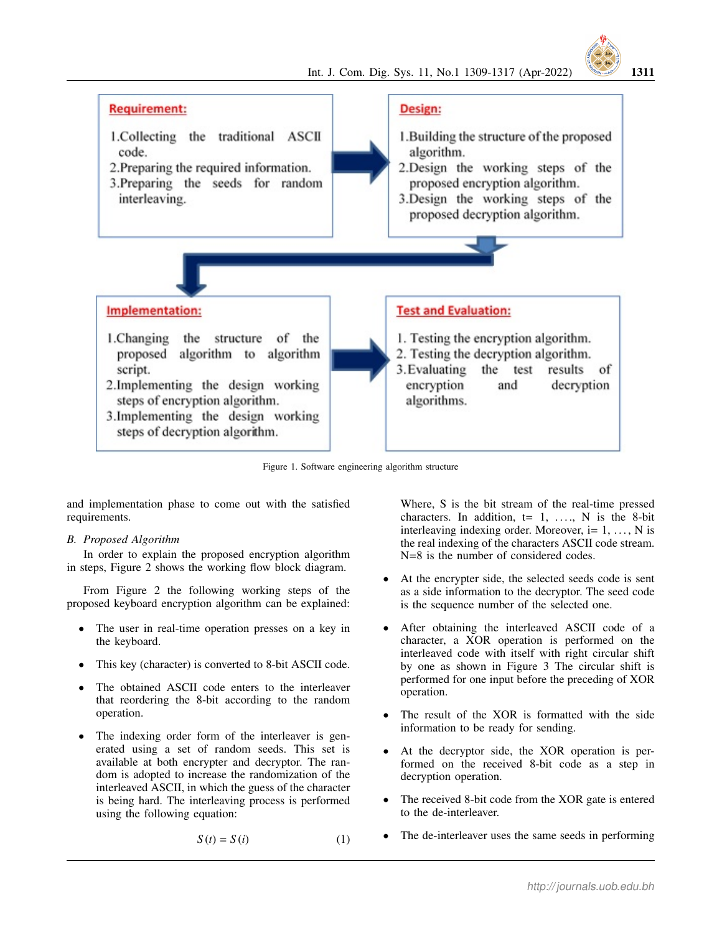

- 1.Collecting the traditional ASCII code.
- 2. Preparing the required information. 3. Preparing the seeds for random
	- interleaving.

# Design:

- 1. Building the structure of the proposed algorithm. 2.Design the working steps of the
- proposed encryption algorithm.
- 3.Design the working steps of the proposed decryption algorithm.



- 1. Changing the structure of the proposed algorithm to algorithm script.
- 2.Implementing the design working steps of encryption algorithm. 3. Implementing the design working
- steps of decryption algorithm.

**Test and Evaluation:** 

- 1. Testing the encryption algorithm.
- 2. Testing the decryption algorithm. 3. Evaluating the test results of encryption decryption and algorithms.

Figure 1. Software engineering algorithm structure

and implementation phase to come out with the satisfied requirements.

## *B. Proposed Algorithm*

In order to explain the proposed encryption algorithm in steps, Figure 2 shows the working flow block diagram.

From Figure 2 the following working steps of the proposed keyboard encryption algorithm can be explained:

- The user in real-time operation presses on a key in the keyboard.
- This key (character) is converted to 8-bit ASCII code.
- The obtained ASCII code enters to the interleaver that reordering the 8-bit according to the random operation.
- The indexing order form of the interleaver is generated using a set of random seeds. This set is available at both encrypter and decryptor. The random is adopted to increase the randomization of the interleaved ASCII, in which the guess of the character is being hard. The interleaving process is performed using the following equation:

$$
S(t) = S(i) \tag{1}
$$

Where, S is the bit stream of the real-time pressed characters. In addition,  $t= 1, \ldots, N$  is the 8-bit interleaving indexing order. Moreover,  $i = 1, \ldots, N$  is the real indexing of the characters ASCII code stream. N=8 is the number of considered codes.

- At the encrypter side, the selected seeds code is sent as a side information to the decryptor. The seed code is the sequence number of the selected one.
- After obtaining the interleaved ASCII code of a character, a XOR operation is performed on the interleaved code with itself with right circular shift by one as shown in Figure 3 The circular shift is performed for one input before the preceding of XOR operation.
- The result of the XOR is formatted with the side information to be ready for sending.
- At the decryptor side, the XOR operation is performed on the received 8-bit code as a step in decryption operation.
- The received 8-bit code from the XOR gate is entered to the de-interleaver.
- The de-interleaver uses the same seeds in performing

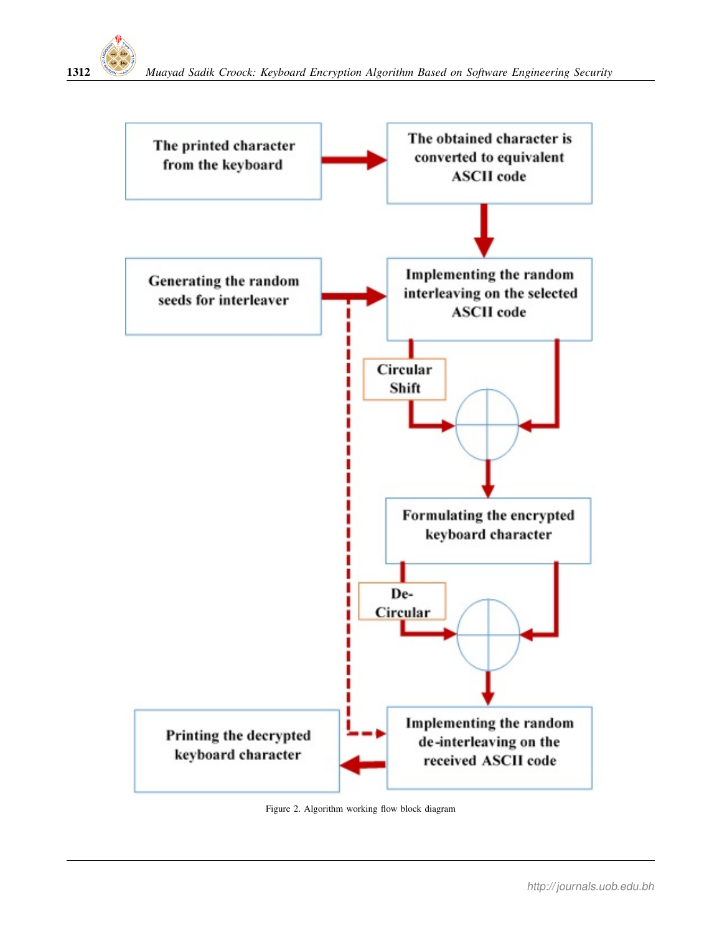



Figure 2. Algorithm working flow block diagram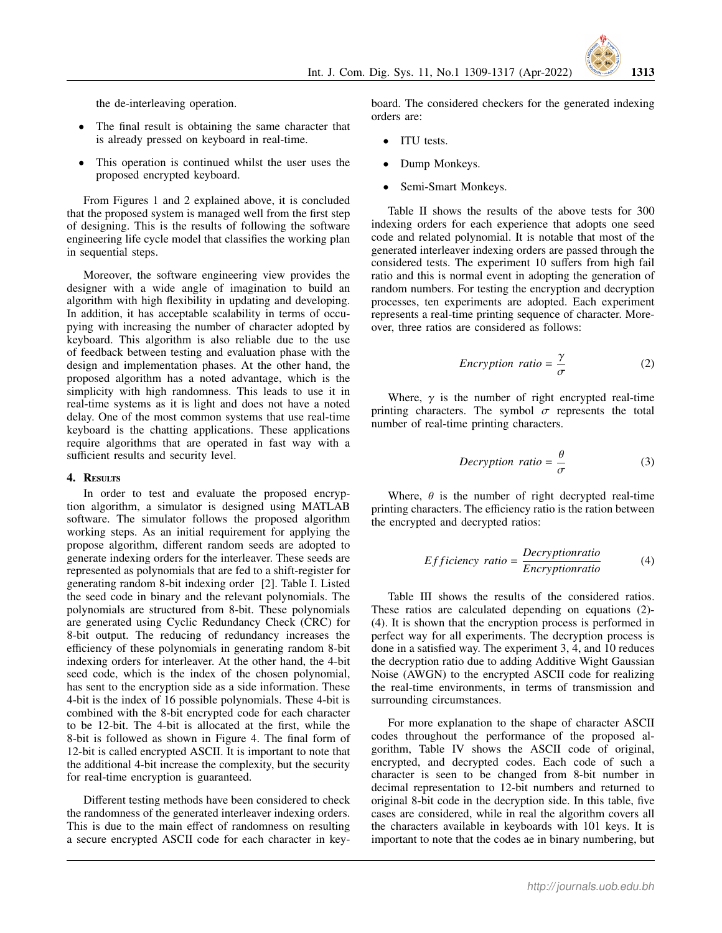

the de-interleaving operation.

- The final result is obtaining the same character that is already pressed on keyboard in real-time.
- This operation is continued whilst the user uses the proposed encrypted keyboard.

From Figures 1 and 2 explained above, it is concluded that the proposed system is managed well from the first step of designing. This is the results of following the software engineering life cycle model that classifies the working plan in sequential steps.

Moreover, the software engineering view provides the designer with a wide angle of imagination to build an algorithm with high flexibility in updating and developing. In addition, it has acceptable scalability in terms of occupying with increasing the number of character adopted by keyboard. This algorithm is also reliable due to the use of feedback between testing and evaluation phase with the design and implementation phases. At the other hand, the proposed algorithm has a noted advantage, which is the simplicity with high randomness. This leads to use it in real-time systems as it is light and does not have a noted delay. One of the most common systems that use real-time keyboard is the chatting applications. These applications require algorithms that are operated in fast way with a sufficient results and security level.

#### 4. RESULTS

In order to test and evaluate the proposed encryption algorithm, a simulator is designed using MATLAB software. The simulator follows the proposed algorithm working steps. As an initial requirement for applying the propose algorithm, different random seeds are adopted to generate indexing orders for the interleaver. These seeds are represented as polynomials that are fed to a shift-register for generating random 8-bit indexing order [2]. Table I. Listed the seed code in binary and the relevant polynomials. The polynomials are structured from 8-bit. These polynomials are generated using Cyclic Redundancy Check (CRC) for 8-bit output. The reducing of redundancy increases the efficiency of these polynomials in generating random 8-bit indexing orders for interleaver. At the other hand, the 4-bit seed code, which is the index of the chosen polynomial, has sent to the encryption side as a side information. These 4-bit is the index of 16 possible polynomials. These 4-bit is combined with the 8-bit encrypted code for each character to be 12-bit. The 4-bit is allocated at the first, while the 8-bit is followed as shown in Figure 4. The final form of 12-bit is called encrypted ASCII. It is important to note that the additional 4-bit increase the complexity, but the security for real-time encryption is guaranteed.

Different testing methods have been considered to check the randomness of the generated interleaver indexing orders. This is due to the main effect of randomness on resulting a secure encrypted ASCII code for each character in keyboard. The considered checkers for the generated indexing orders are:

- ITU tests.
- Dump Monkeys.
- Semi-Smart Monkeys.

Table II shows the results of the above tests for 300 indexing orders for each experience that adopts one seed code and related polynomial. It is notable that most of the generated interleaver indexing orders are passed through the considered tests. The experiment 10 suffers from high fail ratio and this is normal event in adopting the generation of random numbers. For testing the encryption and decryption processes, ten experiments are adopted. Each experiment represents a real-time printing sequence of character. Moreover, three ratios are considered as follows:

$$
Encryption ratio = \frac{\gamma}{\sigma}
$$
 (2)

Where,  $\gamma$  is the number of right encrypted real-time printing characters. The symbol  $\sigma$  represents the total number of real-time printing characters.

$$
Decryption\ ratio = \frac{\theta}{\sigma} \tag{3}
$$

Where,  $\theta$  is the number of right decrypted real-time printing characters. The efficiency ratio is the ration between the encrypted and decrypted ratios:

*Efficiency ratio* = 
$$
\frac{Decryption ratio}{Encryption ratio}
$$
 (4)

Table III shows the results of the considered ratios. These ratios are calculated depending on equations (2)- (4). It is shown that the encryption process is performed in perfect way for all experiments. The decryption process is done in a satisfied way. The experiment 3, 4, and 10 reduces the decryption ratio due to adding Additive Wight Gaussian Noise (AWGN) to the encrypted ASCII code for realizing the real-time environments, in terms of transmission and surrounding circumstances.

For more explanation to the shape of character ASCII codes throughout the performance of the proposed algorithm, Table IV shows the ASCII code of original, encrypted, and decrypted codes. Each code of such a character is seen to be changed from 8-bit number in decimal representation to 12-bit numbers and returned to original 8-bit code in the decryption side. In this table, five cases are considered, while in real the algorithm covers all the characters available in keyboards with 101 keys. It is important to note that the codes ae in binary numbering, but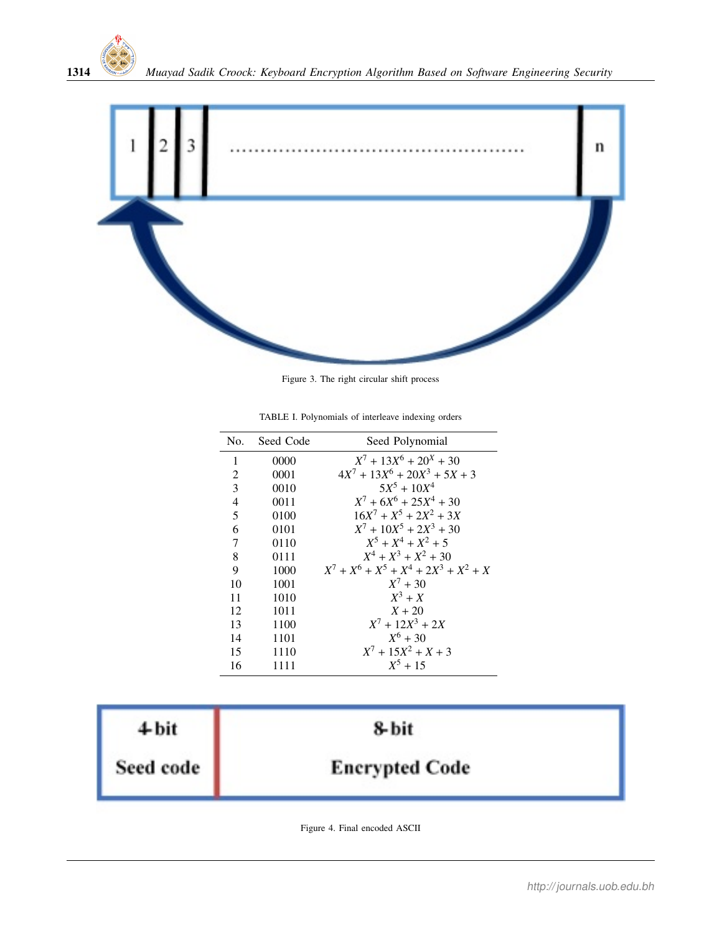



Figure 3. The right circular shift process

TABLE I. Polynomials of interleave indexing orders

|                          | No. Seed Code | Seed Polynomial                          |
|--------------------------|---------------|------------------------------------------|
| 1                        | 0000          | $X^7 + 13X^6 + 20^X + 30$                |
| 2                        | 0001          | $4X^7 + 13X^6 + 20X^3 + 5X + 3$          |
| 3                        | 0010          | $5X^5 + 10X^4$                           |
| $\overline{\mathcal{L}}$ | 0011          | $X^7 + 6X^6 + 25X^4 + 30$                |
| 5                        | 0100          | $16X^7 + X^5 + 2X^2 + 3X$                |
| 6                        | 0101          | $X^7 + 10X^5 + 2X^3 + 30$                |
| 7                        | 0110          | $X^5 + X^4 + X^2 + 5$                    |
| 8                        | 0111          | $X^4 + X^3 + X^2 + 30$                   |
| 9                        | 1000          | $X^7 + X^6 + X^5 + X^4 + 2X^3 + X^2 + X$ |
| 10                       | 1001          | $X^7 + 30$                               |
| 11                       | 1010          | $X^3 + X$                                |
| 12                       | 1011          | $X + 20$                                 |
| 13                       | 1100          | $X^7 + 12X^3 + 2X$                       |
| 14                       | 1101          | $X^6 + 30$                               |
| 15                       | 1110          | $X^7 + 15X^2 + X + 3$                    |
| 16                       | 1111          | $X^5 + 15$                               |

| $4$ bit   | 8-bit                 |  |
|-----------|-----------------------|--|
| Seed code | <b>Encrypted Code</b> |  |

Figure 4. Final encoded ASCII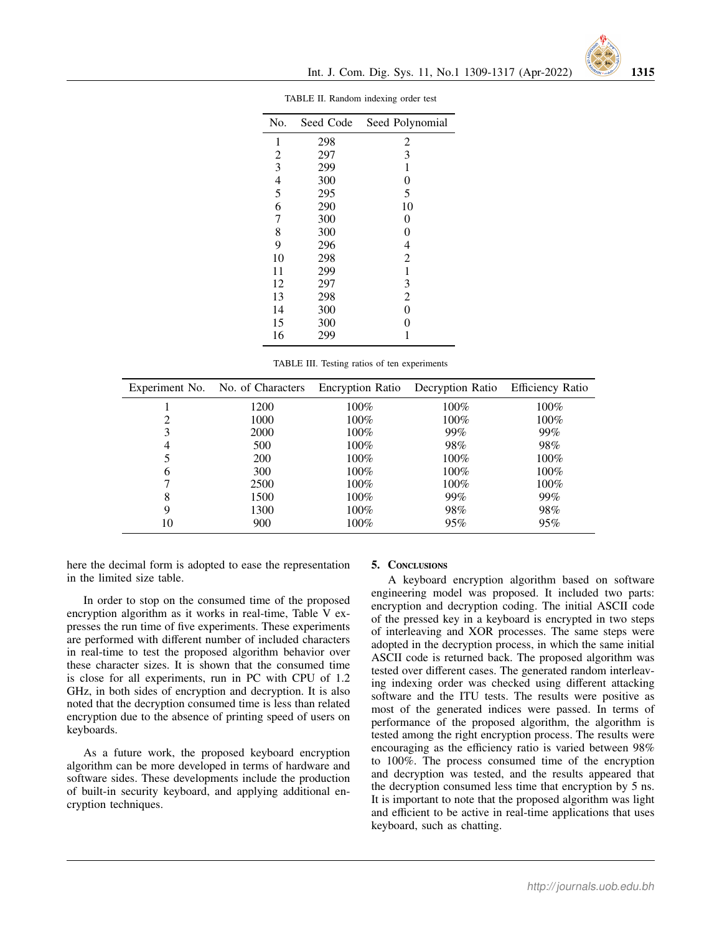|  | No.            | Seed Code | Seed Polynomial |
|--|----------------|-----------|-----------------|
|  | 1              | 298       | 2               |
|  | $\overline{2}$ | 297       | 3               |
|  | 3              | 299       | 1               |
|  | $\overline{4}$ | 300       | 0               |
|  | 5              | 295       | 5               |
|  | 6              | 290       | 10              |
|  | 7              | 300       | $\theta$        |
|  | 8              | 300       | 0               |
|  | 9              | 296       | $\overline{4}$  |
|  | 10             | 298       | $\overline{2}$  |
|  | 11             | 299       | 1               |
|  | 12             | 297       | 3               |
|  | 13             | 298       | $\overline{c}$  |
|  | 14             | 300       | $\overline{0}$  |
|  | 15             | 300       | 0               |
|  | 16             | 299       |                 |
|  |                |           |                 |

TABLE II. Random indexing order test

|  |  |  |  | TABLE III. Testing ratios of ten experiments |
|--|--|--|--|----------------------------------------------|
|--|--|--|--|----------------------------------------------|

|    | Experiment No. No. of Characters |         | Encryption Ratio Decryption Ratio | <b>Efficiency Ratio</b> |
|----|----------------------------------|---------|-----------------------------------|-------------------------|
|    | 1200                             | 100%    | 100%                              | 100%                    |
|    | 1000                             | $100\%$ | $100\%$                           | $100\%$                 |
| 3  | 2000                             | $100\%$ | 99%                               | 99%                     |
| 4  | 500                              | $100\%$ | 98%                               | 98%                     |
|    | <b>200</b>                       | 100%    | 100%                              | 100%                    |
| 6  | 300                              | $100\%$ | $100\%$                           | $100\%$                 |
|    | 2500                             | $100\%$ | $100\%$                           | $100\%$                 |
| 8  | 1500                             | $100\%$ | 99%                               | 99%                     |
| 9  | 1300                             | $100\%$ | 98%                               | 98%                     |
| 10 | 900                              | $100\%$ | 95%                               | 95%                     |

here the decimal form is adopted to ease the representation in the limited size table.

In order to stop on the consumed time of the proposed encryption algorithm as it works in real-time, Table V expresses the run time of five experiments. These experiments are performed with different number of included characters in real-time to test the proposed algorithm behavior over these character sizes. It is shown that the consumed time is close for all experiments, run in PC with CPU of 1.2 GHz, in both sides of encryption and decryption. It is also noted that the decryption consumed time is less than related encryption due to the absence of printing speed of users on keyboards.

As a future work, the proposed keyboard encryption algorithm can be more developed in terms of hardware and software sides. These developments include the production of built-in security keyboard, and applying additional encryption techniques.

#### 5. Conclusions

A keyboard encryption algorithm based on software engineering model was proposed. It included two parts: encryption and decryption coding. The initial ASCII code of the pressed key in a keyboard is encrypted in two steps of interleaving and XOR processes. The same steps were adopted in the decryption process, in which the same initial ASCII code is returned back. The proposed algorithm was tested over different cases. The generated random interleaving indexing order was checked using different attacking software and the ITU tests. The results were positive as most of the generated indices were passed. In terms of performance of the proposed algorithm, the algorithm is tested among the right encryption process. The results were encouraging as the efficiency ratio is varied between 98% to 100%. The process consumed time of the encryption and decryption was tested, and the results appeared that the decryption consumed less time that encryption by 5 ns. It is important to note that the proposed algorithm was light and efficient to be active in real-time applications that uses keyboard, such as chatting.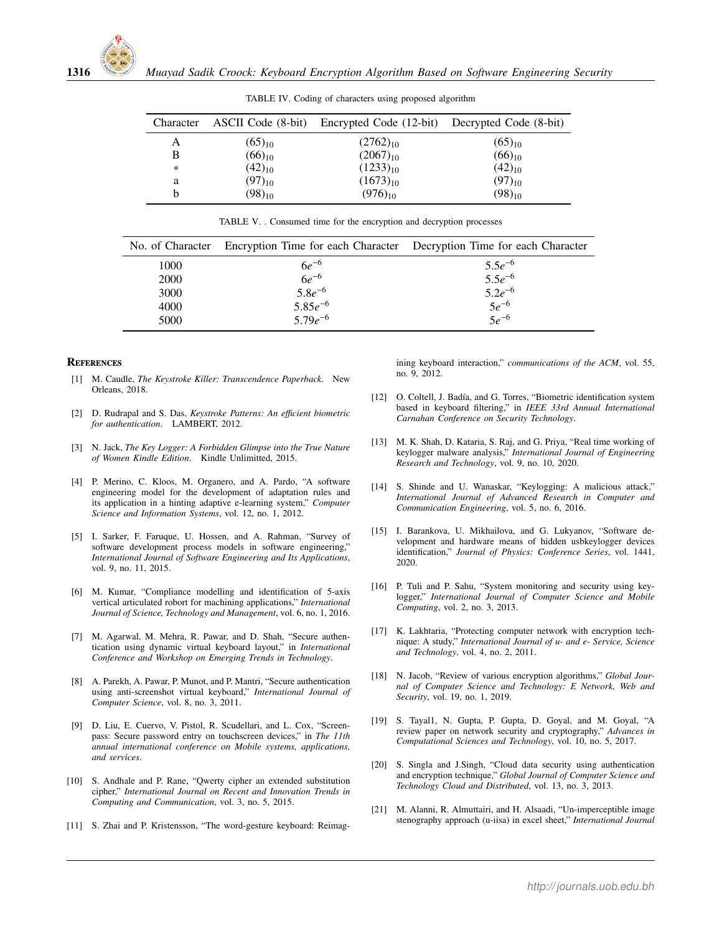|        |             | Character ASCII Code (8-bit) Encrypted Code (12-bit) Decrypted Code (8-bit) |             |
|--------|-------------|-----------------------------------------------------------------------------|-------------|
| Α      | $(65)_{10}$ | $(2762)_{10}$                                                               | $(65)_{10}$ |
| B      | $(66)_{10}$ | $(2067)_{10}$                                                               | $(66)_{10}$ |
| $\ast$ | $(42)_{10}$ | $(1233)_{10}$                                                               | $(42)_{10}$ |
| a      | $(97)_{10}$ | $(1673)_{10}$                                                               | $(97)_{10}$ |
|        | $(98)_{10}$ | $(976)_{10}$                                                                | $(98)_{10}$ |
|        |             |                                                                             |             |

TABLE IV. Coding of characters using proposed algorithm

|      | No. of Character Encryption Time for each Character Decryption Time for each Character |                            |
|------|----------------------------------------------------------------------------------------|----------------------------|
| 1000 | $6e^{-6}$                                                                              | $5.5e^{-6}$<br>$5.5e^{-6}$ |
| 2000 | $6e^{-6}$<br>5.8 $e^{-6}$                                                              |                            |
| 3000 |                                                                                        | $5.2e^{-6}$                |
| 4000 | $5.85e^{-6}$                                                                           | $5e^{-6}$                  |
| 5000 | $5.79e^{-6}$                                                                           | $5e^{-6}$                  |

TABLE V. . Consumed time for the encryption and decryption processes

#### **REFERENCES**

- [1] M. Caudle, *The Keystroke Killer: Transcendence Paperback*. New Orleans, 2018.
- [2] D. Rudrapal and S. Das, *Keystroke Patterns: An e*ffi*cient biometric for authentication*. LAMBERT, 2012.
- [3] N. Jack, *The Key Logger: A Forbidden Glimpse into the True Nature of Women Kindle Edition*. Kindle Unlimitted, 2015.
- [4] P. Merino, C. Kloos, M. Organero, and A. Pardo, "A software engineering model for the development of adaptation rules and its application in a hinting adaptive e-learning system," *Computer Science and Information Systems*, vol. 12, no. 1, 2012.
- [5] I. Sarker, F. Faruque, U. Hossen, and A. Rahman, "Survey of software development process models in software engineering," *International Journal of Software Engineering and Its Applications*, vol. 9, no. 11, 2015.
- [6] M. Kumar, "Compliance modelling and identification of 5-axis vertical articulated robort for machining applications," *International Journal of Science, Technology and Management*, vol. 6, no. 1, 2016.
- [7] M. Agarwal, M. Mehra, R. Pawar, and D. Shah, "Secure authentication using dynamic virtual keyboard layout," in *International Conference and Workshop on Emerging Trends in Technology*.
- [8] A. Parekh, A. Pawar, P. Munot, and P. Mantri, "Secure authentication using anti-screenshot virtual keyboard," *International Journal of Computer Science*, vol. 8, no. 3, 2011.
- [9] D. Liu, E. Cuervo, V. Pistol, R. Scudellari, and L. Cox, "Screenpass: Secure password entry on touchscreen devices," in *The 11th annual international conference on Mobile systems, applications, and services*.
- [10] S. Andhale and P. Rane, "Owerty cipher an extended substitution cipher," *International Journal on Recent and Innovation Trends in Computing and Communication*, vol. 3, no. 5, 2015.
- [11] S. Zhai and P. Kristensson, "The word-gesture keyboard: Reimag-

ining keyboard interaction," *communications of the ACM*, vol. 55, no. 9, 2012.

- [12] O. Coltell, J. Badía, and G. Torres, "Biometric identification system based in keyboard filtering," in *IEEE 33rd Annual International Carnahan Conference on Security Technology*.
- [13] M. K. Shah, D. Kataria, S. Raj, and G. Priya, "Real time working of keylogger malware analysis," *International Journal of Engineering Research and Technology*, vol. 9, no. 10, 2020.
- [14] S. Shinde and U. Wanaskar, "Keylogging: A malicious attack," *International Journal of Advanced Research in Computer and Communication Engineering*, vol. 5, no. 6, 2016.
- [15] I. Barankova, U. Mikhailova, and G. Lukyanov, "Software development and hardware means of hidden usbkeylogger devices identification," *Journal of Physics: Conference Series*, vol. 1441, 2020.
- [16] P. Tuli and P. Sahu, "System monitoring and security using keylogger," *International Journal of Computer Science and Mobile Computing*, vol. 2, no. 3, 2013.
- [17] K. Lakhtaria, "Protecting computer network with encryption technique: A study," *International Journal of u- and e- Service, Science and Technology*, vol. 4, no. 2, 2011.
- [18] N. Jacob, "Review of various encryption algorithms," *Global Journal of Computer Science and Technology: E Network, Web and Security*, vol. 19, no. 1, 2019.
- [19] S. Tayal1, N. Gupta, P. Gupta, D. Goyal, and M. Goyal, "A review paper on network security and cryptography," *Advances in Computational Sciences and Technology*, vol. 10, no. 5, 2017.
- [20] S. Singla and J.Singh, "Cloud data security using authentication and encryption technique," *Global Journal of Computer Science and Technology Cloud and Distributed*, vol. 13, no. 3, 2013.
- [21] M. Alanni, R. Almuttairi, and H. Alsaadi, "Un-imperceptible image stenography approach (u-iisa) in excel sheet," *International Journal*